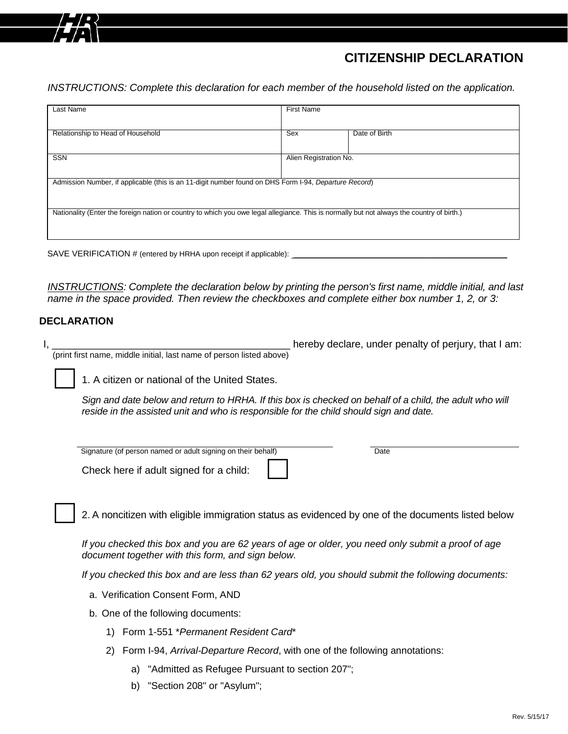## **CITIZENSHIP DECLARATION**

*INSTRUCTIONS: Complete this declaration for each member of the household listed on the application.*

| Last Name                                                                                                                                  | <b>First Name</b>      |               |  |  |
|--------------------------------------------------------------------------------------------------------------------------------------------|------------------------|---------------|--|--|
| Relationship to Head of Household                                                                                                          | Sex                    | Date of Birth |  |  |
| <b>SSN</b>                                                                                                                                 | Alien Registration No. |               |  |  |
| Admission Number, if applicable (this is an 11-digit number found on DHS Form I-94, Departure Record)                                      |                        |               |  |  |
| Nationality (Enter the foreign nation or country to which you owe legal allegiance. This is normally but not always the country of birth.) |                        |               |  |  |

SAVE VERIFICATION # (entered by HRHA upon receipt if applicable):

*INSTRUCTIONS: Complete the declaration below by printing the person's first name, middle initial, and last name in the space provided. Then review the checkboxes and complete either box number 1, 2, or 3:*

## **DECLARATION**

- I,  $\frac{1}{(p_{\text{rint}}\text{first name}, \text{middle initial}, \text{last name of person listed above})}$  hereby declare, under penalty of perjury, that I am:
	- 1. A citizen or national of the United States.

*Sign and date below and return to HRHA. If this box is checked on behalf of a child, the adult who will reside in the assisted unit and who is responsible for the child should sign and date.*

| Signature (of person named or adult signing on their behalf) | Date |
|--------------------------------------------------------------|------|
| Check here if adult signed for a child:                      |      |

2. A noncitizen with eligible immigration status as evidenced by one of the documents listed below

*If you checked this box and you are 62 years of age or older, you need only submit a proof of age document together with this form, and sign below.*

*If you checked this box and are less than 62 years old, you should submit the following documents:*

- a. Verification Consent Form, AND
- b. One of the following documents:
	- 1) Form 1-551 \**Permanent Resident Card*\*
	- 2) Form I-94, *Arrival-Departure Record*, with one of the following annotations:
		- a) "Admitted as Refugee Pursuant to section 207";
		- b) "Section 208" or "Asylum";